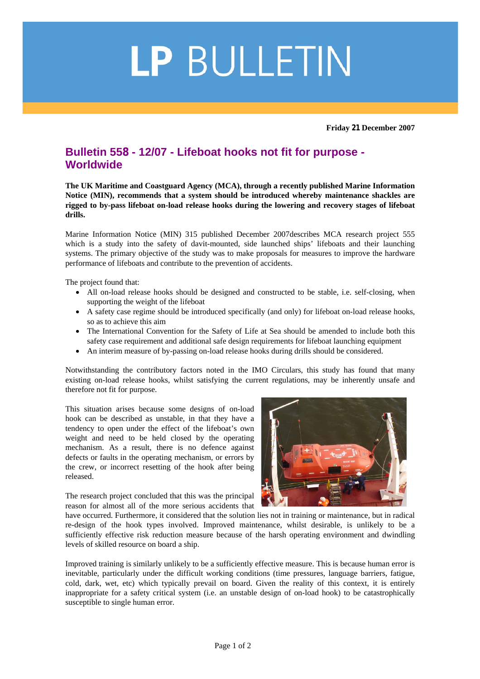## LP BULLETIN

**Friday 21 December 2007** 

## **Bulletin 558 - 12/07 - Lifeboat hooks not fit for purpose - Worldwide**

**The UK Maritime and Coastguard Agency (MCA), through a recently published Marine Information Notice (MIN), recommends that a system should be introduced whereby maintenance shackles are rigged to by-pass lifeboat on-load release hooks during the lowering and recovery stages of lifeboat drills.** 

Marine Information Notice (MIN) 315 published December 2007describes MCA research project 555 which is a study into the safety of davit-mounted, side launched ships' lifeboats and their launching systems. The primary objective of the study was to make proposals for measures to improve the hardware performance of lifeboats and contribute to the prevention of accidents.

The project found that:

- All on-load release hooks should be designed and constructed to be stable, i.e. self-closing, when supporting the weight of the lifeboat
- A safety case regime should be introduced specifically (and only) for lifeboat on-load release hooks, so as to achieve this aim
- The International Convention for the Safety of Life at Sea should be amended to include both this safety case requirement and additional safe design requirements for lifeboat launching equipment
- An interim measure of by-passing on-load release hooks during drills should be considered.

Notwithstanding the contributory factors noted in the IMO Circulars, this study has found that many existing on-load release hooks, whilst satisfying the current regulations, may be inherently unsafe and therefore not fit for purpose.

This situation arises because some designs of on-load hook can be described as unstable, in that they have a tendency to open under the effect of the lifeboat's own weight and need to be held closed by the operating mechanism. As a result, there is no defence against defects or faults in the operating mechanism, or errors by the crew, or incorrect resetting of the hook after being released.

The research project concluded that this was the principal reason for almost all of the more serious accidents that



have occurred. Furthermore, it considered that the solution lies not in training or maintenance, but in radical re-design of the hook types involved. Improved maintenance, whilst desirable, is unlikely to be a sufficiently effective risk reduction measure because of the harsh operating environment and dwindling levels of skilled resource on board a ship.

Improved training is similarly unlikely to be a sufficiently effective measure. This is because human error is inevitable, particularly under the difficult working conditions (time pressures, language barriers, fatigue, cold, dark, wet, etc) which typically prevail on board. Given the reality of this context, it is entirely inappropriate for a safety critical system (i.e. an unstable design of on-load hook) to be catastrophically susceptible to single human error.